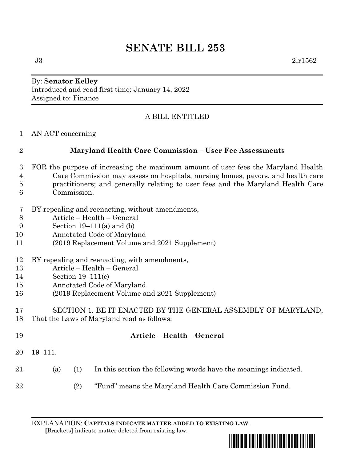# **SENATE BILL 253**

#### By: **Senator Kelley** Introduced and read first time: January 14, 2022 Assigned to: Finance

## A BILL ENTITLED

AN ACT concerning

## **Maryland Health Care Commission – User Fee Assessments**

- FOR the purpose of increasing the maximum amount of user fees the Maryland Health Care Commission may assess on hospitals, nursing homes, payors, and health care practitioners; and generally relating to user fees and the Maryland Health Care Commission.
- BY repealing and reenacting, without amendments,
- Article Health General
- Section 19–111(a) and (b)
- Annotated Code of Maryland
- (2019 Replacement Volume and 2021 Supplement)
- BY repealing and reenacting, with amendments,
- Article Health General
- Section 19–111(c)
- Annotated Code of Maryland
- (2019 Replacement Volume and 2021 Supplement)
- SECTION 1. BE IT ENACTED BY THE GENERAL ASSEMBLY OF MARYLAND, That the Laws of Maryland read as follows:

| 19 |         |     | Article – Health – General                                       |
|----|---------|-----|------------------------------------------------------------------|
| 20 | 19–111. |     |                                                                  |
| 21 | (a)     | (1) | In this section the following words have the meanings indicated. |
| 22 |         | (2) | "Fund" means the Maryland Health Care Commission Fund.           |

EXPLANATION: **CAPITALS INDICATE MATTER ADDED TO EXISTING LAW**.

 **[**Brackets**]** indicate matter deleted from existing law.

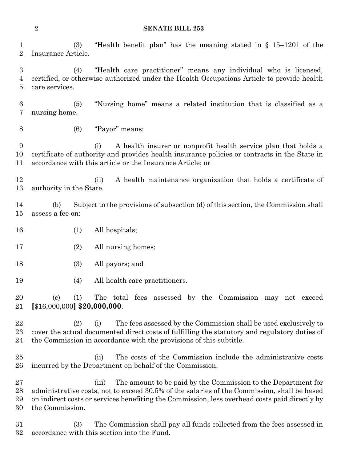**SENATE BILL 253**

 (3) "Health benefit plan" has the meaning stated in § 15–1201 of the Insurance Article.

 (4) "Health care practitioner" means any individual who is licensed, certified, or otherwise authorized under the Health Occupations Article to provide health care services.

 (5) "Nursing home" means a related institution that is classified as a nursing home.

(6) "Payor" means:

 (i) A health insurer or nonprofit health service plan that holds a certificate of authority and provides health insurance policies or contracts in the State in accordance with this article or the Insurance Article; or

 (ii) A health maintenance organization that holds a certificate of authority in the State.

 (b) Subject to the provisions of subsection (d) of this section, the Commission shall assess a fee on:

- (1) All hospitals;
- 17 (2) All nursing homes;
- (3) All payors; and
- (4) All health care practitioners.

 (c) (1) The total fees assessed by the Commission may not exceed **[**\$16,000,000**] \$20,000,000**.

 (2) (i) The fees assessed by the Commission shall be used exclusively to cover the actual documented direct costs of fulfilling the statutory and regulatory duties of the Commission in accordance with the provisions of this subtitle.

 (ii) The costs of the Commission include the administrative costs incurred by the Department on behalf of the Commission.

 (iii) The amount to be paid by the Commission to the Department for administrative costs, not to exceed 30.5% of the salaries of the Commission, shall be based on indirect costs or services benefiting the Commission, less overhead costs paid directly by the Commission.

 (3) The Commission shall pay all funds collected from the fees assessed in accordance with this section into the Fund.